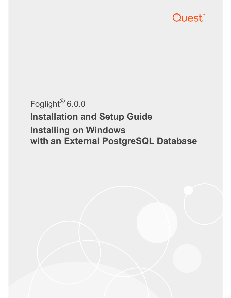

# Foglight® 6.0.0 **Installation and Setup Guide Installing on Windows with an External PostgreSQL Database**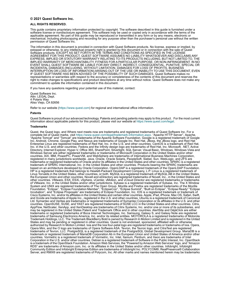#### **© 2021 Quest Software Inc.**

#### **ALL RIGHTS RESERVED.**

This guide contains proprietary information protected by copyright. The software described in this guide is furnished under a software license or nondisclosure agreement. This software may be used or copied only in accordance with the terms of the applicable agreement. No part of this guide may be reproduced or transmitted in any form or by any means, electronic or mechanical, including photocopying and recording for any purpose other than the purchaser's personal use without the written permission of Quest Software Inc.

The information in this document is provided in connection with Quest Software products. No license, express or implied, by estoppel or otherwise, to any intellectual property right is granted by this document or in connection with the sale of Quest Software products. EXCEPT AS SET FORTH IN THE TERMS AND CONDITIONS AS SPECIFIED IN THE LICENSE<br>AGREEMENT FOR THIS PRODUCT, QUEST SOFTWARE ASSUMES NO LIABILITY WHATSOEVER AND DISCLAIMS ANY EXPRESS, IMPLIED OR STATUTORY WARRANTY RELATING TO ITS PRODUCTS INCLUDING, BUT NOT LIMITED TO, THE IMPLIED WARRANTY OF MERCHANTABILITY, FITNESS FOR A PARTICULAR PURPOSE, OR NON-INFRINGEMENT. IN NO<br>EVENT SHALL QUEST SOFTWARE BE LIABLE FOR ANY DIRECT, INDIRECT, CONSEQUENTIAL, PUNITIVE, SPECIAL OR<br>INCIDENTAL DAMAGES (INCLU INTERRUPTION OR LOSS OF INFORMATION) ARISING OUT OF THE USE OR INABILITY TO USE THIS DOCUMENT, EVEN IF QUEST SOFTWARE HAS BEEN ADVISED OF THE POSSIBILITY OF SUCH DAMAGES. Quest Software makes no representations or warranties with respect to the accuracy or completeness of the contents of this document and reserves the right to make changes to specifications and product descriptions at any time without notice. Quest Software does not make any commitment to update the information contained in this document.

If you have any questions regarding your potential use of this material, contact:

Quest Software Inc. Attn: LEGAL Dept. 4 Polaris Way Aliso Viejo, CA 92656

Refer to our website (https://www.quest.com) for regional and international office information.

#### **Patents**

Quest Software is proud of our advanced technology. Patents and pending patents may apply to this product. For the most current<br>information about applicable patents for this product, please visit our website at https://w

#### **Trademarks**

Quest, the Quest logo, and Where next meets now are trademarks and registered trademarks of Quest Software Inc. For a complete list of Quest marks, visit https://www.quest.com/legal/trademark-information.aspx. "Apache HTTP Server", Apache,<br>"Apache Tomcat" and "Tomcat" are trademarks of the Apache Software Foundation. Google is a registere Inc. Android, Chrome, Google Play, and Nexus are trademarks of Google Inc. Red Hat, JBoss, the JBoss logo, and Red Hat Enterprise Linux are registered trademarks of Red Hat, Inc. in the U.S. and other countries. CentOS is a trademark of Red Hat,<br>Inc. in the U.S. and other countries. Fedora and the Infinity design logo are trademarks of Red Directory, Internet Explorer, Hyper-V, Office 365, SharePoint, Silverlight, SQL Server, Visual Basic, Windows, Windows Vista and Windows Server are either registered trademarks or trademarks of Microsoft Corporation in the United States and/or other<br>countries. AIX, IBM, PowerPC, PowerVM, and WebSphere are trademarks of International Business Machine registered in many jurisdictions worldwide. Java, Oracle, Oracle Solaris, PeopleSoft, Siebel, Sun, WebLogic, and ZFS are<br>trademarks or registered trademarks of Oracle and/or its affiliates in the United States and other co based on an architecture developed by Oracle Corporation. OpenLDAP is a registered trademark of the OpenLDAP Foundation. HP is a registered trademark that belongs to Hewlett-Packard Development Company, L.P. Linux is a registered trademark of Linus Torvalds in the United States, other countries, or both. MySQL is a registered trademark of MySQL AB in the United States, the European Union and other countries. Novell and eDirectory are registered trademarks of Novell, Inc., in the United States and other countries. VMware, ESX, ESXi, vSphere, vCenter, vMotion, and vCloud Director are registered trademarks or trademarks of VMware, Inc. in the United States and/or other jurisdictions. Sybase is a registered trademark of Sybase, Inc. The X Window System and UNIX are registered trademarks of The Open Group. Mozilla and Firefox are registered trademarks of the Mozilla<br>Foundation. "Eclipse", "Eclipse Foundation Member", "EclipseCon", "Eclipse Summit", "Built on Eclips Incubation", and "Eclipse Proposals" are trademarks of Eclipse Foundation, Inc. IOS is a registered trademark or trademark of Cisco Systems, Inc. and/or its affiliates in the United States and certain other countries. Apple, iPad, iPhone, Mac OS, Safari, Swift, and Xcode are trademarks of Apple Inc., registered in the U.S. and other countries. Ubuntu is a registered trademark of Canonical Ltd. Symantec and Veritas are trademarks or registered trademarks of Symantec Corporation or its affiliates in the U.S. and other<br>countries. OpenSUSE, SUSE, and YAST are registered trademarks of SUSE LCC in the United Stat AppFlow, NetScaler, XenApp, and XenDesktop are trademarks of Citrix Systems, Inc. and/or one or more of its subsidiaries, and may be registered in the United States Patent and Trademark Office and in other countries. AlertSite and DéjàClick are either<br>trademarks or registered trademarks of Boca Internet Technologies, Inc. Samsung, Galaxy S, and G Trademark Holdings, LLC. The Trademark BlackBerry Bold is owned by Research In Motion Limited and is registered in the United States and may be pending or registered in other countries. Quest is not endorsed, sponsored, affiliated with or otherwise<br>authorized by Research In Motion Limited. Ixia and the Ixia four-petal logo are registered trademar Opera Mini, and the O logo are trademarks of Opera Software ASA. Tevron, the Tevron logo, and CitraTest are registered trademarks of Tevron, LLC. PostgreSQL is a registered trademark of the PostgreSQL Global Development Group. MariaDB is a<br>trademark or registered trademark of MariaDB Corporation Ab in the European Union and United States o countries. Vormetric is a registered trademark of Vormetric, Inc. Intel, Itanium, Pentium, and Xeon are trademarks of Intel Corporation in the U.S. and/or other countries. Debian is a registered trademark of Software in the Public Interest, Inc. OpenStack is a trademark of the OpenStack Foundation. Amazon Web Services, the "Powered by Amazon Web Services" logo, and "Amazon RDS" are trademarks of Amazon.com, Inc. or its affiliates in the United States and/or other countries. Infobright, Infobright Community Edition and Infobright Enterprise Edition are trademarks of Infobright Inc. POLYCOM®, RealPresence® Collaboration Server, and RMX® are registered trademarks of Polycom, Inc. All other marks and names mentioned herein may be trademarks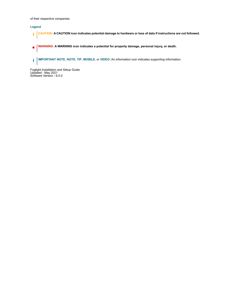of their respective companies.

**Legend**

- **CAUTION: A CAUTION icon indicates potential damage to hardware or loss of data if instructions are not followed.** Ţ
- **WARNING: A WARNING icon indicates a potential for property damage, personal injury, or death.** Ē.
- **IMPORTANT NOTE**, **NOTE**, **TIP**, **MOBILE**, or **VIDEO:** An information icon indicates supporting information.f,

Foglight Installation and Setup Guide Updated - May 2021 Software Version - 6.0.0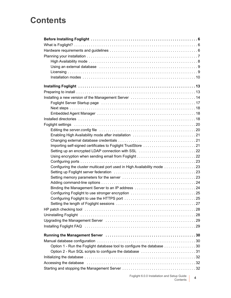## **Contents**

| Foglight Server Startup page (and contained according contained and all the Foglight Server Startup page       |
|----------------------------------------------------------------------------------------------------------------|
|                                                                                                                |
|                                                                                                                |
|                                                                                                                |
|                                                                                                                |
|                                                                                                                |
|                                                                                                                |
|                                                                                                                |
| Importing self-signed certificates to Foglight TrustStore 21                                                   |
|                                                                                                                |
|                                                                                                                |
| Configuring the cluster multicast port used in High Availability mode 23                                       |
|                                                                                                                |
|                                                                                                                |
|                                                                                                                |
| Binding the Management Server to an IP address 24                                                              |
|                                                                                                                |
|                                                                                                                |
|                                                                                                                |
|                                                                                                                |
| Uninstalling Foglight (and all and all and all and all and all and all and all and all and all and all and all |
| Upgrading the Management Server (and the content of the content of the Management Server of the content of the |
| Installing Foglight FAQ (and all and all and all and all and all and all and all and all and all and all and a |
|                                                                                                                |
|                                                                                                                |
|                                                                                                                |
| Option 1 - Run the Foglight database tool to configure the database 30                                         |
| Option 2 - Run SQL scripts to configure the database 31                                                        |
|                                                                                                                |
|                                                                                                                |
|                                                                                                                |
|                                                                                                                |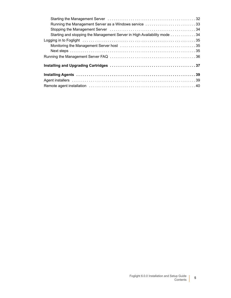| Running the Management Server as a Windows service 33                                                          |  |
|----------------------------------------------------------------------------------------------------------------|--|
|                                                                                                                |  |
| Starting and stopping the Management Server in High Availability mode 34                                       |  |
| Logging in to Foglight (and all contains and all contained a state of the state of the state of the state of t |  |
|                                                                                                                |  |
|                                                                                                                |  |
|                                                                                                                |  |
|                                                                                                                |  |
|                                                                                                                |  |
|                                                                                                                |  |
|                                                                                                                |  |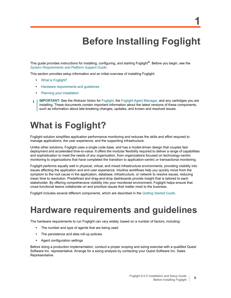**1**

# **Before Installing Foglight**

This guide provides instructions for installing, configuring, and starting Foglight<sup>®</sup>. Before you begin, see the *System Requirements and Platform Support Guide*.

This s[ection provides set](#page-5-0)[up information and an](#page-5-1) initial overview of installing Foglight:

- **•** What is Foglight?
- **•** [Hardware requirements a](#page-6-0)nd guidelines
- **•** Planning your installation
- **IMPORTANT:** See the *Release Notes* for Foglight, the Foglight Agent Manager, and any cartridges you are f installing. These documents contain important information about the latest versions of these components, such as information about late-breaking changes, updates, and known and resolved issues.

# <span id="page-5-0"></span>**What is Foglight?**

Foglight solution simplifies application performance monitoring and reduces the skills and effort required to manage applications, the user experience, and the supporting infrastructure.

Unlike other solutions, Foglight uses a single code base, and has a model-driven design that couples fast deployment and accelerated time-to-value. It offers the modular flexibility required to deliver a range of capabilities and sophistication to meet the needs of any organization, from organizations focused on technology-centric monitoring to organizations that have completed the transition to application-centric or transactional monitoring.

Foglight performs equally well in physical, virtual, and mixed infrastructure environments, providing visibility into issues affecting the application and end user experience. Intuitive workflows help you quickly move from the symptom to the root cause in the application, database, infrastructure, or network to resolve issues, reducing mean time to resolution. Predefined and drag-and-drop dashboards provide insight that is tailored to each stakeholder. By offering comprehensive visibility into your monitored envir[onment, Foglight helps](http://documents.quest.com/foglight/5.9.8/getting-started-guide/) ensure that cross-functional teams collaborate on and prioritize issues that matter most to the business.

<span id="page-5-1"></span>Foglight includes several different components, which are described in the *Getting Started Guide*.

# **Hardware requirements and guidelines**

The hardware requirements to run Foglight can vary widely, based on a number of factors, including:

- **•** The number and type of agents that are being used
- **•** The persistence and data roll-up policies
- **•** Agent configuration settings

Before doing a production implementation, conduct a proper scoping and sizing exercise with a qualified Quest Software Inc. representative. Arrange for a sizing analysis by contacting your Quest Software Inc. Sales Representative.

**6**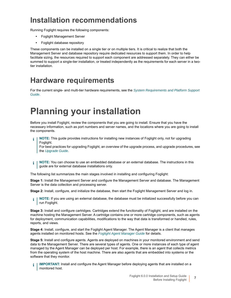## **Installation recommendations**

Running Foglight requires the following components:

- **•** Foglight Management Server
- **•** Foglight database repository

These components can be installed on a single tier or on multiple tiers. It is critical to realize that both the Management Server and database repository require dedicated resources to support them. In order to help facilitate sizing, the resources required to support each component are addressed separately. They can either be summed to support a single-tier installation, or treated independently as the requirements for each server in a twotier installation.

## **[Ha](http://documents.quest.com/foglight/5.9.8/system-requirements-and-platform-support-guide/)rdware requirements**

<span id="page-6-0"></span>For the current single- and multi-tier hardware requirements, see the *System Requirements and Platform Support Guide*.

# **Planning your installation**

Before you install Foglight, review the components that you are going to install. Ensure that you have the necessary information, such as port numbers and server names, and the locations where you are going to install the components.

**NOTE:** This guide provides instructions for installing new instances of Foglight only, not for upgrading Fo[glight.](http://documents.quest.com/foglight/5.9.8/upgrade-guide/)

For best practices for upgrading Foglight, an overview of the upgrade process, and upgrade procedures, see the *Upgrade Guide*.

**NOTE:** You can choose to use an embedded database or an external database. The instructions in this ÷ guide are for external database installations only.

The following list summarizes the main stages involved in installing and configuring Foglight:

**Stage 1:** Install the Management Server and configure the Management Server and database. The Management Server is the data collection and processing server.

**Stage 2:** Install, configure, and initialize the database, then start the Foglight Management Server and log in.

**i** | NOTE: If you are using an external database, the database must be initialized successfully before you can run Foglight.

**Stage 3:** Install and configure cartridges. Cartridges extend the functionality of Foglight, and are installed on the machine hosting the Management Server. A cartridge contains one or more cartridge components, such as agents for deployment, communication capabilities, modifications to the way that data is transformed or handled, rules, reports, and views.

**Stage 4:** Install, configure, and start the Foglight Agent Manager. The Agent Manager is a client that manages agents installed on monitored hosts. See the *Foglight Agent Manager Guide* for details.

**Stage 5:** Install and configure agents. Agents are deployed on machines in your monitored environment and send data to the Management Server. There are several types of agents. One or more instances of each type of agent managed by the Agent Manager can be deployed per host. For example, there is an agent that collects metrics from the operating system of the host machine. There are also agents that are embedded into systems or the software that they monitor.

**IMPORTANT:** Install and configure the Agent Manager before deploying agents that are installed on a monitored host.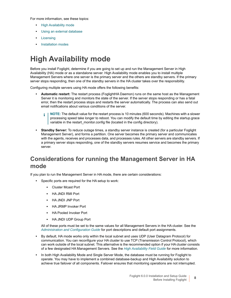For mo[re information, see the](#page-7-0)se topics:

- **•** [High Availability mode](#page-8-0)
- **•** [Using an](#page-8-1) external database
- **•** [Licensing](#page-9-0)
- <span id="page-7-0"></span>**•** Installation modes

## **High Availability mode**

Before you install Foglight, determine if you are going to set up and run the Management Server in High Availability (HA) mode or as a standalone server. High Availability mode enables you to install multiple Management Servers where one server is the primary server and the others are standby servers. If the primary server stops responding, then one of the standby servers in the HA cluster takes over the responsibility.

Configuring multiple servers using HA mode offers the following benefits:

- **Automatic restart:** The restart process (FoglightHA Daemon) runs on the same host as the Management Server it is monitoring and monitors the state of the server. If the server stops responding or has a fatal error, then the restart process stops and restarts the server automatically. The process can also send out email notifications about various conditions of the server.
	- **NOTE:** The default value for the restart process is 10 minutes (600 seconds). Machines with a slower ÷ processing speed take longer to reboot. You can modify the default time by editing the startup.grace variable in the restart monitor.config file (located in the config directory).
- **Standby Server:** To reduce outage times, a standby server instance is created (for a particular Foglight Management Server), and forms a partition. One server becomes the primary server and communicates with the agents, receives and processes data, and processes rules. All other servers are standby servers. If a primary server stops responding, one of the standby servers resumes service and becomes the primary server.

### **Considerations for running the Management Server in HA mode**

If you plan to run the Management Server in HA mode, there are certain considerations:

- **•** Specific ports are required for the HA setup to work:
	- **▪** Cluster Mcast Port
	- **▪** HA JNDI RMI Port
	- **▪** HA JNDI JNP Port
	- **▪** HA JRMP Invoker Port
	- **▪** HA Pooled Invoker Port
	- **▪** [HA JNDI UDP Group Port](http://documents.quest.com/foglight/5.9.8/administration-and-configuration-guide/)

All of these ports must be set to the same values for all Management Servers in the HA cluster. See the *Administration and Configuration Guide* for port descriptions and default port assignments.

- **•** By default, HA mode works only within the local subnet and uses UDP (User Datagram Protocol) for communication. You can reconfigure your HA cluster to [use TCP \(Transmission Con](http://documents.quest.com/foglight/5.9.8/high-availability-field-guide/)trol Protocol), which can work outside of the local subnet. This alternative is the recommended option if your HA cluster consists of a few designated HA Management Servers. See the *High Availability Field Guide* for more information.
- **•** In both High Availability Mode and Single Server Mode, the database must be running for Foglight to operate. You may have to implement a combined database-backup and High Availability solution to achieve true failover of all components. Failover ensures that monitoring operations are not interrupted.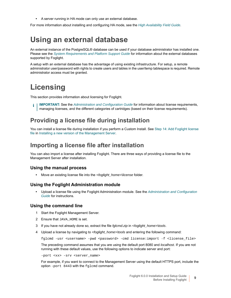**•** A server running in HA mode can only use an external database.

<span id="page-8-0"></span>For more information about installing and configuring HA mode, see the *High Availability Field Guide*.

## **Using [an external database](http://documents.quest.com/foglight/5.9.5/system-requirements-and-platform-support-guide/)**

An external instance of the PostgreSQL® database can be used if your database administrator has installed one. Please see the *System Requirements and Platform Support Guide* for information about the external databases supported by Foglight.

<span id="page-8-1"></span>A setup with an external database has the advantage of using existing infrastructure. For setup, a remote administrator user/password with rights to create users and tables in the user/temp tablespace is required. Remote administrator access must be granted.

## **Licensing**

This section provides inform[ation about licensing for Foglight.](http://documents.quest.com/foglight/5.9.8/administration-and-configuration-guide/)

**IMPORTANT:** See the *Administration and Configuration Guide* for information about license requirements, ÷ managing licenses, and the different categories of cartridges (based on their license requirements).

### **[Pr](#page-16-1)[oviding a license file during](#page-13-1) installation**

<span id="page-8-2"></span>You can install a license file during installation if you perform a Custom Install. See Step 14: Add Foglight license file in Installing a new version of the Management Server.

### **Importing a license file after installation**

You can also import a license after installing Foglight. There are three ways of providing a license file to the Management Server after installation.

### **Using the manual process**

**•** Move an existing license file into the *<foglight\_home>\license* folder.

### **[Using the](http://documents.quest.com/foglight/5.9.8/administration-and-configuration-guide/) Foglight Administration module**

**•** Upload a license file using the Foglight Administration module. See the *Administration and Configuration Guide* for instructions.

### **Using the command line**

- 1 Start the Foglight Management Server.
- 2 Ensure that JAVA HOME is set.
- 3 If you have not already done so, extract the file *fglcmd.zip* in *<foglight\_home>\tools*.
- 4 Upload a license by navigating to *<foglight\_home>\tools* and entering the following command:

fglcmd -usr <username> -pwd <password> -cmd license:import -f <license file>

The preceding command assumes that you are using the default port 8080 and *localhost*. If you are not running with these default values, use the following options to indicate server and port:

-port <xx> -srv <server\_name>

For example, if you want to connect to the Management Server using the default HTTPS port, include the option -port 8443 with the fglcmd command.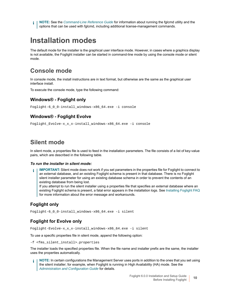<span id="page-9-0"></span>**NOTE:** See the *Command-Line Reference Guide* for information about running the fglcmd utility and the ÷ options that can be used with fglcmd, including additional license-management commands.

## **Installation modes**

The default mode for the installer is the graphical user interface mode. However, in cases where a graphics display is not available, the Foglight installer can be started in command-line mode by using the console mode or silent mode.

### **Console mode**

In console mode, the install instructions are in text format, but otherwise are the same as the graphical user interface install.

To execute the console mode, type the following command:

### **Windows® - Foglight only**

```
Foglight-6_0_0-install_windows-x86_64.exe -i console
```
### **Windows® - Foglight Evolve**

Foglight Evolve-x x x-install windows-x86 64.exe -i console

### **Silent mode**

In silent mode, a properties file is used to feed in the installation parameters. The file consists of a list of key-value pairs, which are described in the following table.

### *To run the installer in silent mode:*

**IMPORTANT:** Silent mode does not work if you set parameters in the properties file for Foglight to connect to ÷. an external database, and an existing Foglight schema is present in that database. There is no Foglight silent installer parameter for using an existing database schema in order to prevent t[he contents of an](#page-28-2)  existing database from being lost.

If you attempt to run the silent installer using a properties file that specifies an external database where an existing Foglight schema is present, a fatal error appears in the installation logs. See Installing Foglight FAQ for more information about the error message and workarounds.

### **Foglight only**

Foglight-6\_0\_0-install\_windows-x86\_64.exe -i silent

### **Foglight for Evolve only**

Foglight-Evolve-x\_x\_x-install\_windows-x86\_64.exe -i silent

To use a specific properties file in silent mode, append the following option:

```
-f <fms_silent_install>.properties
```
The installer loads the specified properties file. When the file name and installer prefix are the same, the installer uses the properties automatically.

**NOTE:** [In certain configurations the Man](http://documents.quest.com/foglight/5.9.8/administration-and-configuration-guide/)agement Server uses ports in addition to the ones that you set using the silent installer; for example, when Foglight is running in High Availability (HA) mode. See the *Administration and Configuration Guide* for details.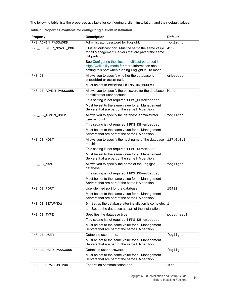The following table lists the properties available for configuring a silent installation, and their default values.

|  |  | Table 1. Properties available for configuring a silent installation |  |
|--|--|---------------------------------------------------------------------|--|
|  |  |                                                                     |  |

| <b>Property</b>        | <b>Description</b>                                                                                                                                             | <b>Default</b> |
|------------------------|----------------------------------------------------------------------------------------------------------------------------------------------------------------|----------------|
| FMS_ADMIN_PASSWORD     | Administrator password for Foglight.                                                                                                                           | foglight       |
| FMS_CLUSTER_MCAST_PORT | Cluster Multicast port. Must be set to the same value<br>for all Management Servers that are part of the same<br>HA partition.                                 | 45566          |
|                        | See Configuring the cluster multicast port used in<br>High Availability mode for more information about<br>setting this port when running Foglight in HA mode. |                |
| FMS DB                 | Allows you to specify whether the database is<br>embedded or external.                                                                                         | embedded       |
|                        | Must be set to external if FMS_HA_MODE=1                                                                                                                       |                |
| FMS_DB_ADMIN_PASSWORD  | Allows you to specify the password for the database<br>administrator user account.                                                                             | None.          |
|                        | This setting is not required if FMS_DB=embedded.                                                                                                               |                |
|                        | Must be set to the same value for all Management<br>Servers that are part of the same HA partition.                                                            |                |
| FMS_DB_ADMIN_USER      | Allows you to specify the database administrator<br>user account.                                                                                              | foglight       |
|                        | This setting is not required if FMS_DB=embedded.                                                                                                               |                |
|                        | Must be set to the same value for all Management<br>Servers that are part of the same HA partition.                                                            |                |
| FMS DB HOST            | Allows you to specify the host name of the database<br>machine.                                                                                                | 127.0.0.1      |
|                        | This setting is not required if FMS_DB=embedded.                                                                                                               |                |
|                        | Must be set to the same value for all Management<br>Servers that are part of the same HA partition.                                                            |                |
| FMS_DB_NAME            | Allows you to specify the name of the Foglight<br>database.                                                                                                    | foglight       |
|                        | This setting is not required if FMS_DB=embedded.                                                                                                               |                |
|                        | Must be set to the same value for all Management<br>Servers that are part of the same HA partition.                                                            |                |
| FMS DB PORT            | User-defined port for the database.                                                                                                                            | 15432          |
|                        | Must be set to the same value for all Management<br>Servers that are part of the same HA partition.                                                            |                |
| FMS_DB_SETUPNOW        | $0 = Set$ up the database after installation is complete. 1                                                                                                    |                |
|                        | $1 = Set$ up the database as part of the installation.                                                                                                         |                |
| FMS_DB_TYPE            | Specifies the database type.                                                                                                                                   | postgresql     |
|                        | This setting is not required if FMS_DB=embedded.                                                                                                               |                |
|                        | Must be set to the same value for all Management<br>Servers that are part of the same HA partition.                                                            |                |
| FMS_DB_USER            | Database user name.                                                                                                                                            | foglight       |
|                        | Must be set to the same value for all Management<br>Servers that are part of the same HA partition.                                                            |                |
| FMS_DB_USER_PASSWORD   | Database user password.                                                                                                                                        | foglight       |
|                        | Must be set to the same value for all Management<br>Servers that are part of the same HA partition.                                                            |                |
| FMS_FEDERATION_PORT    | Federation communication port.                                                                                                                                 | 1099           |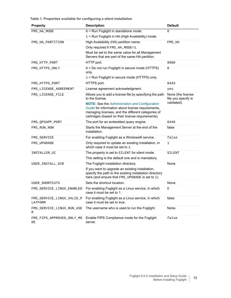**Table 1. Properties available for configuring a silent installation**

| <b>Property</b>                      | <b>Description</b>                                                                                                                                                                                                    | <b>Default</b>                           |
|--------------------------------------|-----------------------------------------------------------------------------------------------------------------------------------------------------------------------------------------------------------------------|------------------------------------------|
| FMS HA MODE                          | 0 = Run Foglight in standalone mode.<br>1 = Run Foglight in HA (High Availability) mode.                                                                                                                              | $\Omega$                                 |
| FMS_HA_PARTITION                     | High Availability (HA) partition name.                                                                                                                                                                                | FMS HA                                   |
|                                      | Only required if FMS_HA_MODE=1.                                                                                                                                                                                       |                                          |
|                                      | Must be set to the same value for all Management<br>Servers that are part of the same HA partition.                                                                                                                   |                                          |
| FMS_HTTP_PORT                        | HTTP port.                                                                                                                                                                                                            | 8080                                     |
| FMS_HTTPS_ONLY                       | 0 = Do not run Foglight in secure mode (HTTPS)<br>only.<br>1 = Run Foglight in secure mode (HTTPS) only.                                                                                                              | 0                                        |
| FMS_HTTPS_PORT                       | HTTPS port.                                                                                                                                                                                                           | 8443                                     |
| FMS_LICENSE_AGREEMENT                | License agreement acknowledgment.                                                                                                                                                                                     | yes                                      |
| FMS_LICENSE_FILE                     | Allows you to add a license file by specifying the path<br>to the license.                                                                                                                                            | None (the license<br>file you specify is |
|                                      | <b>NOTE:</b> See the Administration and Configuration<br>Guide for information about license requirements,<br>managing licenses, and the different categories of<br>cartridges (based on their license requirements). | validated).                              |
| FMS_QP5APP_PORT                      | The port for an embedded query engine.                                                                                                                                                                                | 8448                                     |
| FMS_RUN_NOW                          | Starts the Management Server at the end of the<br>installation.                                                                                                                                                       | false                                    |
| FMS SERVICE                          | For enabling Foglight as a Windows® service.                                                                                                                                                                          | false                                    |
| FMS_UPGRADE                          | Only required to update an existing installation, in<br>which case it must be set to 1.                                                                                                                               | 1                                        |
| INSTALLER UI                         | The property is set to SILENT for silent mode.                                                                                                                                                                        | SILENT                                   |
|                                      | This setting is the default one and is mandatory.                                                                                                                                                                     |                                          |
| USER_INSTALL_DIR                     | The Foglight installation directory.                                                                                                                                                                                  | None.                                    |
|                                      | If you want to upgrade an existing installation,<br>specify the path to the existing installation directory<br>here (and ensure that FMS_UPGRADE is set to 1).                                                        |                                          |
| <b>USER SHORTCUTS</b>                | Sets the shortcut location.                                                                                                                                                                                           | None.                                    |
| FMS SERVICE LINUX ENABLED            | For enabling Foglight as a Linux service, in which<br>case it must be set to 1.                                                                                                                                       | 0                                        |
| FMS_SERVICE_LINUX_VALID_P<br>LATFORM | For enabling Foglight as a Linux service, in which<br>case it must be set to true.                                                                                                                                    | false                                    |
| FMS SERVICE LINUX RUN USE<br>R       | The username who is used to run the Foglight.                                                                                                                                                                         | None.                                    |
| FMS FIPS APPROVED ONLY MO<br>DE      | Enable FIPS Compliance mode for the Foglight<br>server.                                                                                                                                                               | false                                    |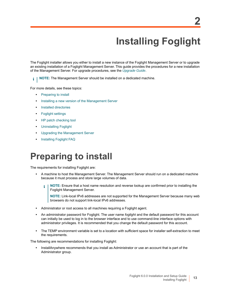# **Installing Foglight**

<span id="page-12-0"></span>The Foglight installer allows you either to install a new instan[ce of the Fogligh](http://documents.quest.com/foglight/5.9.8/upgrade-guide/)t Management Server or to upgrade an existing installation of a Foglight Management Server. This guide provides the procedures for a new installation of the Management Server. For upgrade procedures, see the *Upgrade Guide*.

 $\mathbf{i}$ **NOTE:** The Management Server should be installed on a dedicated machine.

For mo[re details, see thes](#page-12-1)e topics:

- **•** [Preparing to install](#page-13-0)
- **•** [Installing a new vers](#page-17-2)ion of the Management Server
- **•** [Installed director](#page-19-0)ies
- **•** [Foglight settings](#page-27-0)
- **•** [HP patch checking to](#page-27-1)ol
- **•** [Uninstalling Foglight](#page-28-0)
- **•** [Upgrading the Manage](#page-28-1)ment Server
- <span id="page-12-1"></span>**•** Installing Foglight FAQ

# **Preparing to install**

The requirements for installing Foglight are:

- **•** A machine to host the Management Server. The Management Server should run on a dedicated machine because it must process and store large volumes of data.
	- **NOTE:** Ensure that a host name resolution and reverse lookup are confirmed prior to installing the f Foglight Management Server.

**NOTE:** Link-local IPv6 addresses are not supported for the Management Server because many web browsers do not support link-local IPv6 addresses.

- **•** Administrator or root access to all machines requiring a Foglight agent.
- **•** An administrator password for Foglight. The user name *foglight* and the default password for this account can initially be used to log in to the browser interface and to use command-line interface options with administrator privileges. It is recommended that you change the default password for this account.
- **•** The TEMP environment variable is set to a location with sufficient space for installer self-extraction to meet the requirements.

The following are recommendations for installing Foglight:

**•** InstallAnywhere recommends that you install as Administrator or use an account that is part of the Administrator group.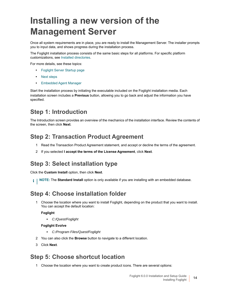# <span id="page-13-1"></span><span id="page-13-0"></span>**Installing a new version of the Management Server**

Once all system requirements are in place, you are ready to install the Management Server. The installer prompts you to input data, an[d shows progress d](#page-17-2)uring the installation process.

The Foglight installation process consists of the same basic steps for all platforms. For specific platform customizations, see Installed directories.

For mo[re details, see these topics:](#page-16-0)

- **•** [Foglight Se](#page-17-0)rver Startup page
- **•** [Next steps](#page-17-1)
- **•** Embedded Agent Manager

Start the installation process by initiating the executable included on the Foglight installation media. Each installation screen includes a **Previous** button, allowing you to go back and adjust the information you have specified.

### **Step 1: Introduction**

The Introduction screen provides an overview of the mechanics of the installation interface. Review the contents of the screen, then click **Next**.

### **Step 2: Transaction Product Agreement**

- 1 Read the Transaction Product Agreement statement, and accept or decline the terms of the agreement.
- 2 If you selected **I accept the terms of the License Agreement**, click **Next**.

### **Step 3: Select installation type**

Click the **Custom Install** option, then click **Next**.

**NOTE:** The **Standard Install** option is only available if you are installing with an embedded database. $\mathbf{i}$ 

### **Step 4: Choose installation folder**

1 Choose the location where you want to install Foglight, depending on the product that you want to install. You can accept the default location:

### **Foglight**

*▪ C:/Quest/Foglight*

### **Foglight Evolve**

- *▪ C:/Program Files/Quest/Foglight*
- 2 You can also click the **Browse** button to navigate to a different location.
- 3 Click **Next**.

### **Step 5: Choose shortcut location**

1 Choose the location where you want to create product icons. There are several options: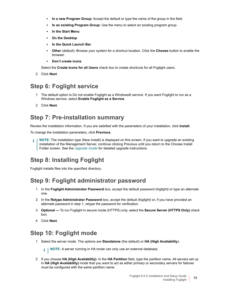- **In a new Program Group:** Accept the default or type the name of the group in the field.
- **In an existing Program Group**: Use the menu to select an existing program group.
- **In the Start Menu**
- **On the Desktop**
- **In the Quick Launch Bar**
- **Other** (default): Browse your system for a shortcut location. Click the **Choose** button to enable the browser.
- **Don't create icons**

Select the **Create Icons for all Users** check box to create shortcuts for all Foglight users.

2 Click **Next**.

### **Step 6: Foglight service**

- 1 The default option is Do not enable Foglight as a Windows® service. If you want Foglight to run as a Windows service, select **Enable Foglight as a Service**.
- 2 Click **Next**.

### **Step 7: Pre-installation summary**

Review the installation information. If you are satisfied with the parameters of your installation, click **Install**.

To change the installation parameters, click **Previous**.

**NOTE:** The installation [type \(New Insta](http://documents.quest.com/foglight/5.9.6/upgrade-guide/)ll) is displayed on this screen. If you want to upgrade an existing installation of the Management Server, continue clicking Previous until you return to the Choose Install Folder screen. See the *Upgrade Guide* for detailed upgrade instructions.

### **Step 8: Installing Foglight**

Foglight installs files into the specified directory.

### **Step 9: Foglight administrator password**

- 1 In the **Foglight Administrator Password** box, accept the default password (*foglight)* or type an alternate one.
- 2 In the **Retype Administrator Password** box, accept the default *(foglight)* or, if you have provided an alternate password in step 1, retype the password for verification.
- 3 **Optional** To run Foglight in secure mode (HTTPS) only, select the **Secure Server (HTTPS Only)** check box.
- <span id="page-14-0"></span>4 Click **Next**.

### **Step 10: Foglight mode**

1 Select the server mode. The options are **Standalone** (the default) or **HA (High Availability**).

**i** | NOTE: A server running in HA mode can only use an external database.

2 If you choose **HA (High Availability)**: In the **HA Partition** field, type the partition name. All servers set up in **HA (High Availability)** mode that you want to act as either primary or secondary servers for failover must be configured with the same partition name.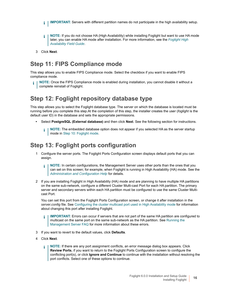- **IMPORTANT:** Servers with different partition names do not participate in the high availability setup. i I
- **NOTE:** [If you do not ch](http://documents.quest.com/foglight/5.9.7/high-availability-field-guide/)oose HA (High Availability) while installing Foglight but want to use HA mode f. later, you can enable HA mode after installation. For more information, see the *Foglight High Availability Field Guide*.
- 3 Click **Next**.

### **Step 11: FIPS Compliance mode**

This step allows you to enable FIPS Compliance mode. Select the checkbox if you want to enable FIPS compliance mode.

**NOTE:** Once the FIPS Compliance mode is enabled during installation, you cannot disable it without a ŧ complete reinstall of Foglight.

### **Step 12: Foglight repository database type**

This step allows you to select the Foglight database type. The server on which the database is located must be running before you complete this step.At the completion of this step, the installer creates the user (*foglight* is the default user ID) in the database and sets the appropriate permissions.

- **•** Select **Postgr[eSQL \(External databas](#page-14-0)e)** and then click **Next**. See the following section for instructions.
	- **NOTE:** The embedded database option does not appear if you selected HA as the server startup f. mode in Step 10: Foglight mode.

### **Step 13: Foglight ports configuration**

- 1 Configure the server ports. The Foglight Ports Configuration screen displays default ports that you can assign.
	- **NOTE:** [In certain configurations, the M](http://documents.quest.com/foglight/5.9.8/administration-and-configuration-guide/)anagement Server uses other ports than the ones that you f. can set on this screen; for example, when Foglight is running in High Availability (HA) mode. See the *Administration and Configuration Help* for details.
- 2 If you are installing Foglight in High Availability (HA) mode and are planning to have multiple HA partitions on the same sub-network, configure a different Cluster Multi-cast Port for each HA partition. The primary server and secondary servers within each HA partition must be configured to use the same Cluster Multicast Port.

You can set this port from the Foglight Ports Configuration screen, or change it after installation in the *server.config* file. See Configuring the cluster multicast port used in High Availability mode for information about changing this port after installing Foglight.

- **[IMPORTANT:](#page-35-1)** Errors can occur if servers that are not part of the same HA partition are configured to f. multicast on the same port on the same sub-network as the HA partition. See Running the Management Server FAQ for more information about these errors.
- 3 If you want to revert to the default values, click **Defaults**.
- 4 Click **Next**.
	- **NOTE:** If there are any port assignment conflicts, an error message dialog box appears. Click ÷ **Review Ports**, if you want to return to the Foglight Ports Configuration screen to configure the conflicting port(s), or click **Ignore and Continue** to continue with the installation without resolving the port conflicts. Select one of these options to continue.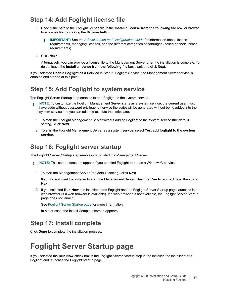### <span id="page-16-1"></span>**Step 14: Add Foglight license file**

1 Specify the path to the Fogli[ght license file in the](http://documents.quest.com/foglight/5.9.8/administration-and-configuration-guide/) **Install a license from the following file** box, or browse to a license file by clicking the **Browse button**.

**IMPORTANT:** See the *Administration and Configuration Guide* for information about license ÷ requirements, managing licenses, and the different categories of cartridges (based on their license requirements).

2 Click **Next**.

Alternatively, you can provide a license file to the Management Server after the installation is complete. To do so, leave the **Install a license from the following file** box blank and click **Next**.

If you selected **Enable Foglight as a Service** in Step 6: Foglight Service, the Management Server service is enabled and started at this point.

### **Step 15: Add Foglight to system service**

The Foglight Server Startup step enables to add Foglight to the system service.

- **NOTE:** To customize the Foglight Management Server starts as a system service, the current user must have sudo without password privilege; otherwise the script will be generated without being added into the system service and you can edit and execute the script later.
	- 1 To start the Foglight Management Server without adding Foglight to the system service (the default setting), click **Next**.
	- 2 To start the Foglight Management Server as a system service, select **Yes, add foglight to the system service**.

### **Step 16: Foglight server startup**

The Foglight Server Startup step enables you to start the Management Server.

- **i** | NOTE: This screen does not appear if you enabled Foglight to run as a Windows® service.
	- 1 To start the Management Server (the default setting), click **Next**.

If you do not want the installer to start the Management Server, clear the **Run Now** check box, then click **Next**.

2 If you selected **Run Now**, the installer starts Foglight and the Foglight Server Startup page launches in a web [browser \(if a web browser is a](#page-16-0)vailable). If a web browser is not available, the Foglight Server Startup page does not launch.

See Foglight Server Startup page for more information.

In either case, the Install Complete screen appears.

### **Step 17: Install complete**

<span id="page-16-0"></span>Click **Done** to complete the installation process.

## **Foglight Server Startup page**

If you selected the **Run Now** check box in the Foglight Server Startup step in the installer, the installer starts Foglight and launches the Foglight startup page.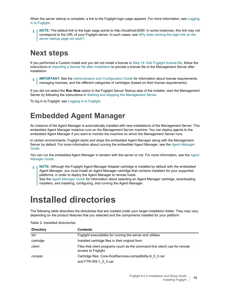When the server startup is complete, a link to the Foglight login page appears. For more information, see Logging in to Foglight.

<span id="page-17-0"></span>**NOTE:** [The default link to the l](#page-35-2)ogin page points to http://localhost:8080. In some instances, this link may not  $\ddot{\mathbf{i}}$ correspond to the URL of your Foglight server. In such cases, see Why does clicking the login link on the server startup page not work?.

## **Next [steps](#page-8-2)**

If you performed a Custom Install and you did not install a license in Step 14: Add Foglight license file, follow the instructions in Importing a lic[ense file after installation to provide a lic](http://documents.quest.com/foglight/5.9.8/administration-and-configuration-guide/)ense file to the Management Server after installation.

**IMPORTANT:** See the *Administration and Configuration Guide* for information about license requirements, ÷ managing licenses, and the diff[erent categories of cartridges \(based on their lic](#page-31-3)ense requirements).

If you did not select the **Run Now** [option in the](#page-34-3) Foglight Server Startup step of the installer, start the Management Server by following the instructions in Starting and stopping the Management Server.

<span id="page-17-1"></span>To log in to Foglight, see Logging in to Foglight.

## **Embedded Agent Manager**

An instance of the Agent Manager is automatically installed with new installations of the Management Server. This embedded Agent Manager instance runs on the Management Server machine. You can deploy agents to the embedded Agent Manager if you want to monitor the machine on which the Management Ser[ver runs.](https://support.quest.com/foglight-for-virtualization-enterprise-edition/5.9.8/technical-documents?filterType=Docset&filterValue=Foglight%20Agent%20Manager)

[In cert](https://support.quest.com/foglight-for-virtualization-enterprise-edition/5.9.8/technical-documents?filterType=Docset&filterValue=Foglight%20Agent%20Manager)ain environments, Foglight starts and stops the embedded Agent Manager along with the Management Server by default. For more information about running the embedded Agent Manager, see the *Agent Mana[ger](https://support.quest.com/foglight-for-virtualization-enterprise-edition/5.9.8/technical-documents?filterType=Docset&filterValue=Foglight%20Agent%20Manager)  [Guide](https://support.quest.com/foglight-for-virtualization-enterprise-edition/5.9.8/technical-documents?filterType=Docset&filterValue=Foglight%20Agent%20Manager)*.

You can run the embedded Agent Manager in tandem with the server or not. For more information, see the *Agent Manager Guide*.

**NOTE:** Although the Foglight Agent Manager Adapter cartridge is installed by default with the embedded ÷ Agent M[anager, you must insta](https://support.quest.com/foglight-for-virtualization-enterprise-edition/5.9.8/technical-documents?filterType=Docset&filterValue=Foglight%20Agent%20Manager)ll an Agent Manager cartridge that contains installers for your supported platforms, in order to deploy the Agent Manager to remote hosts. See the *Agent Manager Guide* for information about selecting an Agent Manager cartridge, downloading installers, and installing, configuring, and running the Agent Manager.

# <span id="page-17-2"></span>**Installed directories**

The following table describes the directories that are created under your target installation folder. They may vary, depending on the product features that you selected and the components installed for your platform.

#### **Table 2. Installed directories**

| <b>Directory</b> | <b>Contents</b>                                                                                    |  |  |  |
|------------------|----------------------------------------------------------------------------------------------------|--|--|--|
| bin              | Foglight executables for running the server and utilities.                                         |  |  |  |
| cartridge        | Installed cartridge files in their original form.                                                  |  |  |  |
| client           | Files that client programs (such as the command-line client) use for remote<br>access to Foglight. |  |  |  |
| compat           | Cartridge files: Core-HostServices-compatibility-6 0 0.car<br>and FTR-WS-1 0 0.car                 |  |  |  |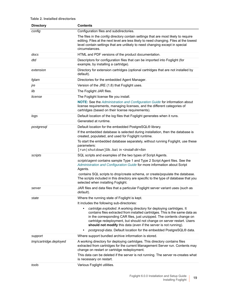**Table 2. Installed directories**

| <b>Directory</b>       | <b>Contents</b>                                                                                                                                                                                                                                                                                                                                                                                                                                     |
|------------------------|-----------------------------------------------------------------------------------------------------------------------------------------------------------------------------------------------------------------------------------------------------------------------------------------------------------------------------------------------------------------------------------------------------------------------------------------------------|
| config                 | Configuration files and subdirectories.                                                                                                                                                                                                                                                                                                                                                                                                             |
|                        | The files in the config directory contain settings that are most likely to require<br>editing. Files at the next level are less likely to need changing. Files at the lowest<br>level contain settings that are unlikely to need changing except in special<br>circumstances.                                                                                                                                                                       |
| docs                   | HTML and PDF versions of the product documentation.                                                                                                                                                                                                                                                                                                                                                                                                 |
| dtd                    | Descriptors for configuration files that can be imported into Foglight (for<br>example, by installing a cartridge).                                                                                                                                                                                                                                                                                                                                 |
| extension              | Directory for extension cartridges (optional cartridges that are not installed by<br>default).                                                                                                                                                                                                                                                                                                                                                      |
| fglam                  | Directories for the embedded Agent Manager.                                                                                                                                                                                                                                                                                                                                                                                                         |
| jre                    | Version of the JRE (1.8) that Foglight uses.                                                                                                                                                                                                                                                                                                                                                                                                        |
| lib                    | The Foglight JAR files.                                                                                                                                                                                                                                                                                                                                                                                                                             |
| license                | The Foglight license file you install.                                                                                                                                                                                                                                                                                                                                                                                                              |
|                        | NOTE: See the Administration and Configuration Guide for information about<br>license requirements, managing licenses, and the different categories of<br>cartridges (based on their license requirements).                                                                                                                                                                                                                                         |
| logs                   | Default location of the log files that Foglight generates when it runs.                                                                                                                                                                                                                                                                                                                                                                             |
|                        | Generated at runtime.                                                                                                                                                                                                                                                                                                                                                                                                                               |
| postgresql             | Default location for the embedded PostgreSQL® library.                                                                                                                                                                                                                                                                                                                                                                                              |
|                        | If the embedded database is selected during installation, then the database is<br>created, populated, and used for Foglight runtime.                                                                                                                                                                                                                                                                                                                |
|                        | To start the embedded database separately, without running Foglight, use these<br>parameters:<br>[run shutdown]Db.bat in <install-dir>/bin</install-dir>                                                                                                                                                                                                                                                                                            |
| scripts                | SQL scripts and examples of the two types of Script Agents.                                                                                                                                                                                                                                                                                                                                                                                         |
|                        | scriptslagent contains sample Type 1 and Type 2 Script Agent files. See the<br>Administration and Configuration Guide for more information about Script<br>Agents.                                                                                                                                                                                                                                                                                  |
|                        | contains SQL scripts to drop/create schema, or create/populate the database.<br>The scripts included in this directory are specific to the type of database that you<br>selected when installing Foglight.                                                                                                                                                                                                                                          |
| server                 | JAR files and data files that a particular Foglight server variant uses (such as<br>default).                                                                                                                                                                                                                                                                                                                                                       |
| state                  | Where the running state of Foglight is kept.                                                                                                                                                                                                                                                                                                                                                                                                        |
|                        | It includes the following sub-directories:                                                                                                                                                                                                                                                                                                                                                                                                          |
|                        | cartridge.exploded. A working directory for deploying cartridges. It<br>contains files extracted from installed cartridges. This is the same data as<br>in the corresponding CAR files, just unzipped. The contents change on<br>cartridge redeployment, but should not change on server restart. Users<br>should not modify this data (even if the server is not running).<br>postgresql-data. Default location for the embedded PostgreSQL® data. |
| support                | Where support bundled archive information is stored.                                                                                                                                                                                                                                                                                                                                                                                                |
| tmp\cartridge.deployed | A working directory for deploying cartridges. This directory contains files<br>extracted from cartridges for the current Management Server run. Contents may<br>change on restart or cartridge redeployment.<br>This data can be deleted if the server is not running. The server re-creates what                                                                                                                                                   |
| tools                  | is necessary on restart.<br>Various Foglight utilities.                                                                                                                                                                                                                                                                                                                                                                                             |
|                        |                                                                                                                                                                                                                                                                                                                                                                                                                                                     |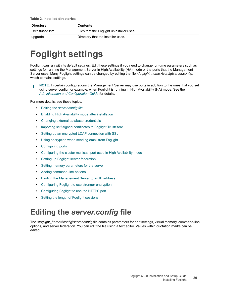**Table 2. Installed directories**

| <b>Directory</b> | <b>Contents</b>                           |
|------------------|-------------------------------------------|
| UninstallerData  | Files that the Foglight uninstaller uses. |
| upgrade          | Directory that the installer uses.        |

# <span id="page-19-0"></span>**Foglight settings**

Foglight can run with its default settings. Edit these settings if you need to change run-time parameters such as settings for running the Management Server in High Availability (HA) mode or the ports that the Management Server uses. Many Foglight settings can be changed by editing the file *<foglight\_home>\config\server.config*, which contains settings.

**NOTE:** [In certain configurations the Man](http://documents.quest.com/foglight/5.9.8
/administration-and-configuration-guide/)agement Server may use ports in addition to the ones that you set ÷ using server.config; for example, when Foglight is running in High Availability (HA) mode. See the *Administration and Configuration Guide* for details.

For mo[re details, see these topics:](#page-19-1)

- **•** Editing the *[server.config file](#page-20-0)*
- **•** [Enabling High Availability mode after ins](#page-20-1)tallation
- **•** [Changing external database credentials](#page-20-2)
- **•** [Importing self-signed certificates to Foglight TrustSto](#page-21-0)re
- **•** [Setting up an encrypted LDAP connection with SSL](#page-21-1)
- **•** [Using encryption](#page-22-0) [when sending email from Foglight](#page-22-1)
- **•** Configuring ports
- **•** [Configuring the cluster multicast port](#page-22-2) used in High Availability mode
- **•** [Setting up Foglight server federation](#page-22-3)
- **•** [Setting memory parameters fo](#page-23-0)r the server
- **•** [Adding command-line options](#page-23-1)
- **•** [Binding the Management Server to an IP addre](#page-24-0)ss
- **•** [Configuring Foglight to use stronger encrypt](#page-24-1)ion
- **•** [Configuring Foglight to use the HTTPS](#page-26-0) port
- <span id="page-19-1"></span>**•** Setting the length of Foglight sessions

## **Editing the** *server.config* **file**

The *<foglight\_home>\config\server.config* file contains parameters for port settings, virtual memory, command-line options, and server federation. You can edit the file using a text editor. Values within quotation marks can be edited.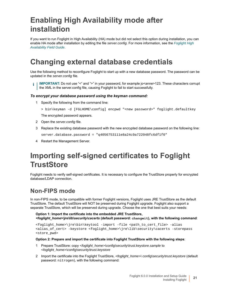## <span id="page-20-0"></span>**Enabling High Availability mode after installation**

<span id="page-20-1"></span>[If you want to run Fogli](http://documents.quest.com/foglight/5.9.8/administration-and-configuration-guide/)ght in High Availability (HA) mode but did not select this option during installation, you can enable HA mode after installation by editing the file *server.config*. For more information, see the *Foglight High Availability Field Guide*.

## **Changing external database credentials**

Use the following method to reconfigure Foglight to start up with a new database password. The password can be updated in the *server.config* file.

**IMPORTANT:** Do not use "<" and ">" in your password, for example jo<anne>123. These characters corrupt the XML in the server.config file, causing Foglight to fail to start successfully.

#### *To encrypt your database password using the keyman command:*

1 Specify the following from the command line:

```
> bin\keyman -d [FGLHOME\config] encpwd "<new password>" foglight.defaultkey
```
The encrypted password appears.

- 2 Open the *server.config* file.
- 3 Replace the existing database password with the new encrypted database password on the following line: server.database.password = "q4056753111e8a24c9a722048fc6df1f0"
- <span id="page-20-2"></span>4 Restart the Management Server.

## **Importing self-signed certificates to Foglight TrustStore**

Foglight needs to verify self-signed certificates. It is necessary to configure the TrustStore properly for encrypted database/LDAP connection.

### **Non-FIPS mode**

In non-FIPS mode, to be compatible with former Foglight versions, Foglight uses JRE TrustStore as the default TrustStore. The default TrustStore will NOT be preserved during Foglight upgrade. Foglight also support a separate TrustStore, which will be preserved during upgrade. Choose the one that best suits your needs:

**Option 1: Import the certificate into the embedded JRE TrustStore,**  *<foglight\_home>\jre\lib\security\cacerts* **(default password: changeit), with the following command**:

```
<foglight_home>\jre\bin\keytool -import -file <path_to_cert_file> -alias 
<alias_of_cert> -keystore <foglight_home>\jre\lib\security\cacerts -storepass 
<store_pwd>
```
#### **Option 2: Prepare and import the certificate into Foglight TrustStore with the following steps**:

- 1 Prepare TrustStore: copy *<foglight\_home>\config\security\trust.keystore.sample* to *<foglight\_home>\config\security\trust.keystore*
- 2 Import the certificate into the Foglight TrustStore, *<foglight\_home>\ config\security\trust.keystore* (default password: nitrogen), with the following command: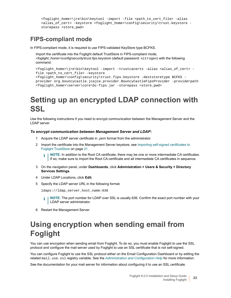```
<foglight_home>\jre\bin\keytool -import -file <path_to_cert_file> -alias 
<alias_of_cert> -keystore <foglight_home>\config\security\trust.keystore -
storepass <store_pwd>
```
### **FIPS-compliant mode**

In FIPS-compliant mode, it is required to use FIPS-validated KeyStore type BCFKS.

```
Import the certificate into the Foglight default TrustStore in FIPS-compliant mode, 
<foglight_home>\config\security\trust.fips.keystore (default password: nitrogen) with the following 
command:
```

```
<foglight_home>\jre\bin\keytool -import -trustcacerts -alias <alias_of_cert> - 
file <path_to_cert_file> -keystore 
<foglight_home>\config\security\trust.fips.keystore -deststoretype BCFKS - 
provider org.bouncycastle.jcajce.provider.BouncyCastleFipsProvider -providerpath 
<foglight_home>\server\core\bc-fips.jar -storepass <store_pwd>
```
## <span id="page-21-0"></span>**Setting up an encrypted LDAP connection with SSL**

Use the following instructions if you need to encrypt communication between the Management Server and the LDAP server.

#### *To encrypt communication between Management Server and LDAP:*

- [1 Acquire the LDAP server certific](#page-20-2)ate in *.pem* format from the adm[inistrator.](#page-20-2)
- 2 Import the certificate into the Management Server keystore, see Importing self-signed certificates to Foglight TrustStore on page 21.

**NOTE:** In addition to the Root CA certificate, there may be one or more intermediate CA certificates. ÷ If so, make sure to import the Root CA certificate and all intermediate CA certificates in sequence.

- 3 On the navigation panel, under **Dashboards**, click **Administration > Users & Security > Directory Services Settings**.
- 4 Under LDAP Locations, click **Edit**.
- 5 Specify the LDAP server URL in the following format:

ldaps://ldap\_server\_host\_name:636

- **NOTE:** The port number for LDAP over SSL is usually 636. Confirm the exact port number with your i. LDAP server administrator.
- <span id="page-21-1"></span>6 Restart the Management Server.

## **Using encryption when sending email from Foglight**

You can use encryption when sending email from Foglight. To do so, you must enable Foglight to use the SSL protocol and configure the mail server used by Fo[glight to use an SSL certificate that is n](http://documents.quest.com/foglight/5.9.8/administration-and-configuration-guide/)ot self-signed.

You can configure Foglight to use the SSL protocol either on the Email Configuration Dashboard or by editing the related mail.use.ssl registry variable. See the *Administration and Configuration Help* for more information.

See the documentation for your mail server for information about configuring it to use an SSL certificate.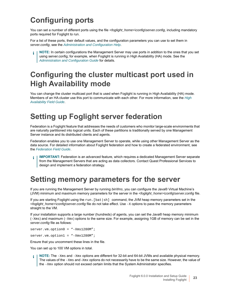## <span id="page-22-0"></span>**Configuring ports**

You can set a number of different ports using the file <foglight\_home>\config\server.config, including mandatory ports required for Fog[light to run.](http://documents.quest.com/foglight/5.9.8/administration-and-configuration-guide/)

For a list of these ports, their default values, and the configuration parameters you can use to set them in *server.config*, see the *Administration and Configuration Help*.

<span id="page-22-4"></span><span id="page-22-1"></span>**NOTE:** [In certain configurations the Man](http://documents.quest.com/foglight/5.9.8/administration-and-configuration-guide/)agement Server may use ports in addition to the ones that you set using server.config; for example, when Foglight is running in High Availability (HA) mode. See the *Administration and Configuration Guide* for details.

## **Configuring the cluster multicast port used in High Availability mode**

<span id="page-22-2"></span>[You can change the clu](http://documents.quest.com/foglight/5.9.8/high-availability-field-guide/)ster multicast port that is used when Foglight is running in High Availability (HA) mode. Members of an HA cluster use this port to communicate with each other. For more information, see the *High Availability Field Guide*.

## **Setting up Foglight server federation**

Federation is a Foglight feature that addresses the needs of customers who monitor large-scale environments that are naturally partitioned into logical units. Each of these partitions is traditionally served by one Management Server instance and its distributed clients and agents.

Fe[deration enables you to u](http://documents.quest.com/foglight/5.9.8/federation-field-guide/)se one Management Server to operate, while using other Management Server as the data source. For detailed information about Foglight federation and how to create a federated environment, see the *Federation Field Guide*.

<span id="page-22-3"></span>**IMPORTANT:** Federation is an advanced feature, which requires a dedicated Management Server separate from the Management Servers that are acting as data collectors. Contact Quest Professional Services to design and implement a federation strategy.

## **Setting memory parameters for the server**

If you are running the Management Server by running *bin\fms*, you can configure the Java® Virtual Machine's (JVM) minimum and maximum memory parameters for the server in the *<foglight\_home>\config\server.config* file.

If you are starting Foglight using the run. [bat  $|\sh|$  command, the JVM heap memory parameters set in the *<foglight\_home>\config\server.config* file do not take effect. Use -X options to pass the memory parameters straight to the VM.

If your installation supports a large number (hundreds) of agents, you can set the Java® heap memory minimum (-Xms) and maximum (-Xmx) options to the same size. For example, assigning 1GB of memory can be set in the *server.config* file as follows:

server.vm.option0 = "-Xms1280M";

server.vm.option1 = "-Xmx1280M";

Ensure that you uncomment these lines in the file.

You can set up to 100 VM options in total.

**NOTE:** The -Xms and -Xmx options are different for 32-bit and 64-bit JVMs and available physical memory. The values of the -Xms and -Xmx options do not necessarily have to be the same size. However, the value of the -Xmx option should not exceed certain limits that the System Administrator specifies.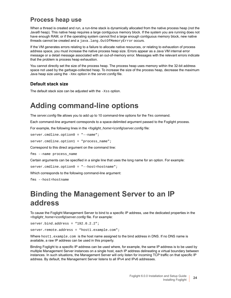### **Process heap use**

When a thread is created and run, a run-time stack is dynamically allocated from the native process heap (not the Java® heap). This native heap requires a large contiguous memory block. If the system you are running does not have enough RAM, or if the operating system cannot find a large enough contiguous memory block, new native threads cannot be created and a java.lang.OutOfMemoryError occurs.

If the VM generates errors relating to a failure to allocate native resources, or relating to exhaustion of process address space, you must increase the native process heap size. Errors appear as a Java VM internal error message or a detail message associated with an out-of-memory error. Messages with the relevant errors indicate that the problem is process heap exhaustion.

You cannot directly set the size of the process heap. The process heap uses memory within the 32-bit address space not used by the garbage-collected heap. To increase the size of the process heap, decrease the maximum Java heap size using the -Xmx option in the *server.config* file.

### **Default stack size**

The default stack size can be adjusted with the -Xss option.

## <span id="page-23-0"></span>**Adding command-line options**

The *server.config* file allows you to add up to 10 command-line options for the fms command.

Each command-line argument corresponds to a space-delimited argument passed to the Foglight process.

For example, the following lines in the *<foglight\_home>\config\server.config* file:

server.cmdline.option0 = "--name";

server.cmdline.option1 = "process\_name";

Correspond to this direct argument on the command line:

fms --name process\_name

Certain arguments can be specified in a single line that uses the long name for an option. For example:

server.cmdline.option0 = "--host=hostname";

Which corresponds to the following command-line argument:

fms --host=hostname

## <span id="page-23-1"></span>**Binding the Management Server to an IP address**

To cause the Foglight Management Server to bind to a specific IP address, use the dedicated properties in the *<foglight\_home>\config\server.config* file. For example:

server.bind.address = "192.0.2.2";

server.remote.address = "host1.example.com";

Where host1.example.com is the host name assigned to the bind address in DNS. If no DNS name is available, a raw IP address can be used in this property.

Binding Foglight to a specific IP address can be used where, for example, the same IP address is to be used by multiple Management Server instances on a single host, each IP address delineating a virtual boundary between instances. In such situations, the Management Server will only listen for incoming TCP traffic on that specific IP address. By default, the Management Server listens to all IPv4 and IPv6 addresses.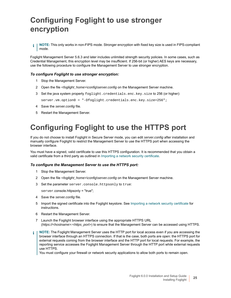## <span id="page-24-0"></span>**Configuring Foglight to use stronger encryption**

**NOTE:** This only works in non-FIPS mode. Stronger encryption with fixed key size is used in FIPS-compliant ÷ mode.

Foglight Management Server 5.6.3 and later includes unlimited strength security policies. In some cases, such as Credential Management, this encryption level may be insufficient. If 256-bit (or higher) AES keys are necessary, use the following procedure to configure the Management Server to use stronger encryption.

### *To configure Foglight to use stronger encryption:*

- 1 Stop the Management Server.
- 2 Open the file *<foglight\_home>\config\server.config* on the Management Server machine.
- 3 Set the java system property foglight.credentials.enc.key.size to 256 (or higher): server.vm.option0 = "-Dfoglight.credentials.enc.key.size=256";
- 4 Save the *server.config* file*.*
- <span id="page-24-1"></span>5 Restart the Management Server.

## **Configuring Foglight to use the HTTPS port**

If you do not choose to install Foglight in Secure Server mode, you can edit *server.config* after installation and manually configure Foglight to restrict the Management Server to use the HTTPS port when accessing the browser interface.

You must have a signed, valid certificate to use this HTTPS configuration. It is recommended that you obtain a valid certificate from a third party as outlined in Importing a network security certificate.

#### *To configure the Management Server to use the HTTPS port:*

- 1 Stop the Management Server.
- 2 Open the file *<foglight\_home>\config\server.config* on the Management Server machine.
- 3 Set the parameter server.console.httpsonly to true:

server.console.httpsonly = "true";

- 4 Save the *server.config* file*.*
- 5 Import the signed certificate into the Foglight keystore. See Importing a network security certificate for instructions.
- 6 Restart the Management Server.
- 7 Launch the Foglight browser interface using the appropriate HTTPS URL (*https://<hostname>:<https\_port>*) to ensure that the Management Server can be accessed using HTTPS.
- **NOTE:** The Foglight Management Server uses the HTTP port for local access even if you are accessing the ÷ browser interface through an HTTPS connection. If that is the case, both ports are open: the HTTPS port for external requests coming from the browser interface and the HTTP port for local requests. For example, the reporting service accesses the Foglight Management Server through the HTTP port while external requests use HTTPS.

You must configure your firewall or network security applications to allow both ports to remain open.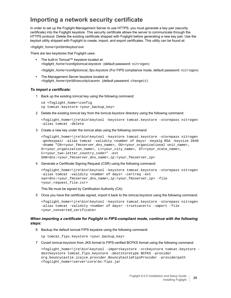### **Importing a network security certificate**

In order to set up the Foglight Management Server to use HTTPS, you must generate a key pair (security certificate) into the Foglight keystore. This security certificate allows the server to communicate through the HTTPS protocol. Delete the existing certificate shipped with Foglight before generating a new key pair. Use the keytool utility shipped with Foglight to create, import, and export certificates. This utility can be found at:

*<foglight\_home>\jre\bin\keytool.exe*

There are two keystores that Foglight uses:

**•** The built-in Tomcat™ keystore located at: *<foglight\_home>\config\tomcat.keystore* (default password: nitrogen)

*<foglight\_home>\config\tomcat\_fips.keystore* (For FIPS compliance mode, default password: nitrogen)

**•** The Management Server keystore located at: *<foglight\_home>\jre\lib\security\cacerts* (default password: changeit)

#### *To import a certificate:*

1 Back up the existing *tomcat* key using the following command:

cd <foglight\_home>\config cp tomcat.keystore <your\_backup\_key>

2 Delete the existing *tomcat* key from the *tomcat.keystore* directory using the following command:

```
<foglight_home>\jre\bin\keytool -keystore tomcat.keystore -storepass nitrogen 
-alias tomcat -delete
```
3 Create a new key under the *tomcat* alias using the following command:

```
<foglight_home>\jre\bin\keytool -keystore tomcat.keystore -storepass nitrogen 
-genkeypair -alias tomcat -validity <number of days> -keyalg RSA -keysize 2048
-dname "CN=<your_fmsserver_dns_name>, OU=<your_organizational unit_name>,
O=<your_organization_name>, L=<your_city_name>, ST=<your_state_name>, 
C=<your_two-letter_country_code>" -ext 
SAN=dns:<your_fmsserver_dns_name>,ip:<your_fmsserver_ip>
```
4 Generate a Certificate Signing Request (CSR) using the following command:

```
<foglight_home>\jre\bin\keytool -keystore tomcat.keystore -storepass nitrogen 
-alias tomcat -validity <number of days> -certreq -ext 
san=dns:<your_fmsserver_dns_name>,ip:<your_fmsserver_ip> -file 
<your_request_file.csr>
```
This file must be signed by Certification Authority (CA).

5 Once you have the certificate signed, import it back to the *tomcat.keystore* using the following command:

```
<foglight_home>\jre\bin\keytool -keystore tomcat.keystore -storepass nitrogen 
-alias tomcat -validity <number of days> -trustcacerts -import -file 
<your_converted_cerificate>
```
#### *When importing a certificate for Foglight in FIPS-compliant mode, continue with the following steps:*

6 Backup the default tomcat FIPS keystore using the following command:

cp tomcat\_fips.keystore <your\_backup\_key>

7 Covert *tomcat.keystore* from JKS format to FIPS-verified BCFKS format using the following command:

```
<foglight_home>\jre\bin\keytool -importkeystore -srckeystore tomcat.keystore -
destkeystore tomcat_fips.keystore -deststoretype BCFKS -provider 
org.bouncycastle.jcajce.provider.BouncyCastleFipsProvider -providerpath 
<foglight_home>\server\core\bc-fips.jar
```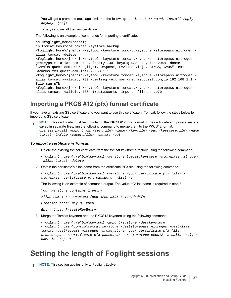You will get a prompted message similar to the following:*... is not trusted. Install reply anyway? [no]:*

Type yes to install the new certificate.

The following is an example of commands for importing a certificate.

```
cd <foglight_home>/config
cp tomcat.keystore tomcat.keystore.backup
<foglight_home>/jre/bin/keytool -keystore tomcat.keystore -storepass nitrogen -
alias tomcat -delete
<foglight_home>/jre/bin/keytool -keystore tomcat.keystore -storepass nitrogen -
genkeypair -alias tomcat -validity 730 -keyalg RSA -keysize 2048 -dname 
"CN=fms.quest.com, OU=Foglight, O=Quest, L=Aliso Viejo, ST=CA, C=US" -ext 
SAN=dns:fms.quest.com,ip:192.168.1.1
<foglight_home>/jre/bin/keytool -keystore tomcat.keystore -storepass nitrogen -
alias tomcat -validity 730 -certreq -ext san=dns:fms.quest.com,ip:192.168.1.1 -
file san.p7b
<foglight_home>/jre/bin/keytool -keystore tomcat.keystore -storepass nitrogen -
alias tomcat -validity 730 -trustcacerts -import -file san.p7b
```
### **Importing a PKCS #12 (pfx) format certificate**

If you have an existing SSL certificate and you want to use this certificate in Tomcat, follow the steps below to import this SSL certificate.

**NOTE:** This certificate must be provided in the PKCS #12 (pfx) format. If the certificate and private key are saved in separate files, run the following command to merge them to the PKCS12 format: *openssl pkcs12 -export -in <certfile> -inkey <keyfile> -out <keystorefile> -name tomcat -CAfile <cacertfile> -caname root*

#### *To import a certificate in Tomcat:*

1 Delete the existing *tomcat* certificate from the *tomcat.keystore* directory using the following command:

```
<foglight_home>\jre\bin\keytool -keystore tomcat.keystore -storepass nitrogen 
-alias tomcat -delete
```
2 Obtain the certificate's alias name from the certificate PFX file using the following command:

*<foglight\_home>\jre\bin\keytool -keystore <your certificate pfx file> storepass <certificate pfx password> -list -v*

The following is an example of command output. The value of Alias name is required in step 3.

*Your keystore contains 1 entry*

*Alias name: tq-294043e3-fd9d-42ee-a596-0217c7d6d5f8*

*Creation date: May 8, 2020*

*Entry type: PrivateKeyEntry*

3 Merge the Tomcat keystore and the PKCS12 keystore using the following command:

```
<foglight_home>\jre\bin\keytool -importkeystore -destkeystore 
<foglight_home>\config\tomcat.keystore -deststorepass nitrogen -destalias 
tomcat -destkeypass nitrogen -srckeystore <your certificate pfx file> -
srcstorepass <certificate pfx password> -srcstoretype pkcs12 -srcalias <alias 
name in step 2>
```
### <span id="page-26-0"></span>**Setting the length of Foglight sessions**

```
i | NOTE: This section applies only to Foglight Evolve.
```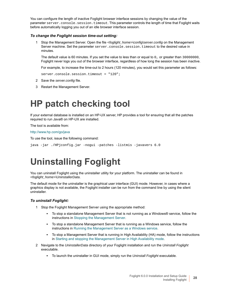You can configure the length of inactive Foglight browser interface sessions by changing the value of the parameter server.console.session.timeout. This parameter controls the length of time that Foglight waits before automatically logging you out of an idle browser interface session.

#### *To change the Foglight session time-out setting:*

1 Stop the Management Server. Open the file *<foglight\_home>\config\server.config* on the Management Server machine. Set the parameter server.console.session.timeout to the desired value in minutes.

The default value is 60 minutes. If you set the value to less than or equal to 0, or greater than 30000000, Foglight never logs you out of the browser interface, regardless of how long the session has been inactive.

For example, to increase the time-out to 2 hours (120 minutes), you would set this parameter as follows:

server.console.session.timeout = "120";

- 2 Save the *server.config* file*.*
- <span id="page-27-0"></span>3 Restart the Management Server.

# **HP patch checking tool**

If your external database is installed on an HP-UX server, HP provides a tool for ensuring that all the patches [required to run Java® on HP-UX are installed.](https://h20392.www2.hp.com/portal/swdepot/displayProductInfo.do?productNumber=HPJCONFIG) 

[T](http://www.hp.com/go/java)he tool is available from:

http://www.hp.com/go/java

To use the tool, issue the following command:

<span id="page-27-1"></span>java -jar ./HPjconfig.jar -nogui -patches -listmis -javavers 6.0

# **Uninstalling Foglight**

You can uninstall Foglight using the uninstaller utility for your platform. The uninstaller can be found in *<foglight\_home>\UninstallerData*.

The default mode for the uninstaller is the graphical user interface (GUI) mode. However, in cases where a graphics display is not available, the Foglight installer can be run from the command line by using the silent uninstaller.

#### *To uninstall Foglight:*

- 1 Stop the Foglight Ma[nagement Server using the approp](#page-33-2)riate method:
	- **▪** To stop a standalone Management Server that is not running as a Windows® service, follow the instructions in [Stopping the Management Server.](#page-32-0)
	- **▪** To stop a standalone Management Server that is running as a Windows service, follow the in[structions in Running the Management Server as a Windows service.](#page-33-3)
	- **▪** To stop a Management Server that is running in High Availability (HA) mode, follow the instructions in Starting and stopping the Management Server in High Availability mode.
- 2 Navigate to the *UninstallerData* directory of your Foglight installation and run the *Uninstall Foglight* executable.
	- **▪** To launch the uninstaller in GUI mode, simply run the *Uninstall Foglight* executable.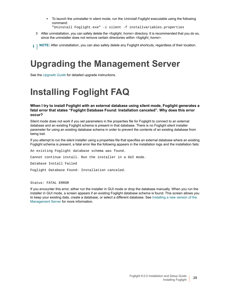**▪** To launch the uninstaller in silent mode, run the *Uninstall Foglight* executable using the following command:

"Uninstall Foglight.exe" -i silent -f installvariables.properties

3 After uninstallation, you can safely delete the *<foglight\_home>* directory. It is recommended that you do so, since the uninstaller does not remove certain directories within *<foglight\_home>*.

<span id="page-28-0"></span>**i** | NOTE: After uninstallation, you can also safely delete any Foglight shortcuts, regardless of their location.

# **Up[gradin](http://documents.quest.com/foglight/5.9.8/upgrade-guide/)g the Management Server**

<span id="page-28-2"></span><span id="page-28-1"></span>See the *Upgrade Guide* for detailed upgrade instructions.

# **Installing Foglight FAQ**

**When I try to install Foglight with an external database using silent mode, Foglight generates a fatal error that states "Foglight Database Found: Installation canceled". Why does this error occur?**

Silent mode does not work if you set parameters in the properties file for Foglight to connect to an external database and an existing Foglight schema is present in that database. There is no Foglight silent installer parameter for using an existing database schema in order to prevent the contents of an existing database from being lost.

If you attempt to run the silent installer using a properties file that specifies an external database where an existing Foglight schema is present, a fatal error like the following appears in the installation logs and the installation fails:

An existing Foglight database schema was found. Cannot continue install. Run the installer in a GUI mode. Database Install Failed Foglight Database Found: Installation canceled.

#### Status: FATAL ERROR

If you encounter this error, either run the installer in GUI mode or drop the databa[se manually. When you run the](#page-13-0)  [installer in GUI mode](#page-13-0), a screen appears if an existing Foglight database schema is found. This screen allows you to keep your existing data, create a database, or select a different database. See Installing a new version of the Management Server for more information.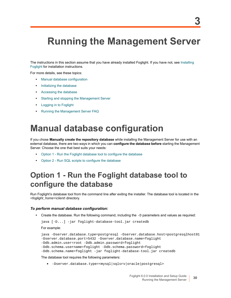# <span id="page-29-0"></span>**Running the Management Server**

The instructions in this section assume that you have already installed Foglight. If you have not, see Installing Foglight for installation instructions.

For mo[re details, see these topics:](#page-29-1)

- **•** [Manual database config](#page-31-0)uration
- **•** [Initializing the database](#page-31-1)
- **•** [Accessing the database](#page-31-2)
- **•** [Starting and stopping](#page-34-0) the Management Server
- **•** [Logging in to Foglight](#page-35-0)
- <span id="page-29-1"></span>**•** Running the Management Server FAQ

## **Manual database configuration**

If you chose **Manually create the repository database** while installing the Management Server for use with an extern[al database, there are two ways in which you can](#page-29-2) **configure the database before** starting the Management Server. Choose the one that best suits your needs:

- **•** [Option 1 Run the Foglight database tool to configure](#page-30-0) the database
- <span id="page-29-2"></span>**•** Option 2 - Run SQL scripts to configure the database

## **Option 1 - Run the Foglight database tool to configure the database**

Run Foglight's database tool from the command line after exiting the installer. The database tool is located in the *<foglight\_home>\client\* directory.

#### *To perform manual database configuration:*

**•** Create the database. Run the following command, including the -D parameters and values as required:

java [-D...] -jar foglight-database-tool.jar createdb

For example:

```
java -Dserver.database.type=postgresql -Dserver.database.host=postgresqlhost01
-Dserver.database.port=5432 -Dserver.database.name=foglight
-Ddb.admin.user=root -Ddb.admin.password=foglight
-Ddb.schema.username=foglight -Ddb.schema.password=foglight
-Ddb.schema.name=foglight -jar foglight-database-tool.jar createdb
```
The database tool requires the following parameters:

**▪** -Dserver.database.type=<mysql|sqlsrv|oracle|postgresql>

**3**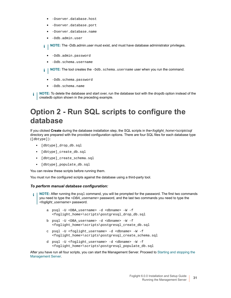- **▪** -Dserver.database.host
- **▪** -Dserver.database.port
- **▪** -Dserver.database.name
- **▪** -Ddb.admin.user

**i** | NOTE: The -Ddb.admin.user must exist, and must have database administrator privileges.

- **▪** -Ddb.admin.password
- **▪** -Ddb.schema.username

**i** | NOTE: The tool creates the -Ddb.schema.username user when you run the command.

- **▪** -Ddb.schema.password
- **▪** -Ddb.schema.name
- <span id="page-30-0"></span>**NOTE:** To delete the database and start over, run the database tool with the dropdb option instead of the ÷ createdb option shown in the preceding example.

## **Option 2 - Run SQL scripts to configure the database**

If you clicked **Create** during the database installation step, the SQL scripts in the*<foglight\_home>\scripts\sql* directory are prepared with the provided configuration options. There are four SQL files for each database type ([dbtype]):

- **•** [dbtype]\_drop\_db.sql
- **•** [dbtype]\_create\_db.sql
- **•** [dbtype]\_create\_schema.sql
- **•** [dbtype]\_populate\_db.sql

You can review these scripts before running them.

You must run the configured scripts against the database using a third-party tool.

### *To perform manual database configuration:*

**NOTE:** After running the psql command, you will be prompted for the password. The first two commands you need to type the *<DBA\_username>* password, and the last two commands you need to type the *<foglight\_username>* password.

- a psql -U <DBA\_username> -d <dbname> -W -f <foglight\_home>\scripts\postgresql\_drop\_db.sql
- b psql -U <DBA\_username> -d <dbname> -W -f <foglight\_home>\scripts\postgresql\_create\_db.sql
- c psql -U <foglight\_username> -d <dbname> -W -f <foglight\_home>\scripts\postgresql\_create\_schema.sql
- d psql -U <foglight\_username> -d <dbname> -W -f [<fogl](#page-31-2)ight\_home>\scripts\postgresql\_populate\_db.sql

After you have run all four scripts, you can start the Management Server. Proceed to Starting and stopping the Management Server.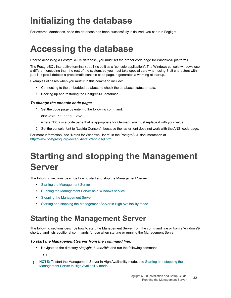# <span id="page-31-0"></span>**Initializing the database**

<span id="page-31-1"></span>For external databases, once the database has been successfully initialized, you can run Foglight.

# **Accessing the database**

Prior to accessing a PostgreSQL® database, you must set the proper code page for Windows® platforms.

The PostgreSQL interactive terminal  $(psq_1)$  is built as a "console application". The Windows console windows use a different encoding than the rest of the system, so you must take special care when using 8-bit characters within psql. If psql detects a problematic console code page, it generates a warning at startup.

Examples of cases when you must run this command include:

- **•** Connecting to the embedded database to check the database status or data.
- **•** Backing up and restoring the PostgreSQL database.

#### *To change the console code page:*

1 Set the code page by entering the following command:

cmd.exe /c chcp 1252

where: 1252 is a code page that is appropriate for German; you must replace it with your value.

[2 Set the console font to "Lucida Console", becau](http://www.postgresql.org/docs/9.4/static/app-psql.html)se the raster font does not work with the ANSI code page.

<span id="page-31-3"></span><span id="page-31-2"></span>For more information, see "Notes for Windows Users" in the PostgreSQL documentation at http://www.postgresql.org/docs/9.4/static/app-psql.html.

# **Starting and stopping the Management Server**

The fol[lowing sections describe how to s](#page-31-4)tart and stop the Management Server:

- **•** [Starting the Management Server](#page-32-1)
- **•** [Running the Management Server](#page-33-0) as a Windows service
- **•** [Stopping the Management Server](#page-33-1)
- <span id="page-31-4"></span>**•** Starting and stopping the Management Server in High Availability mode

## **Starting the Management Server**

The following sections describe how to start the Management Server from the command line or from a Windows® shortcut and lists additional commands for use when starting or running the Management Server.

#### *To start the Management Server from the command line:*

**•** Navigate to the directory *<foglight\_home>\bin* and run the following command:

[fms](#page-33-1)

**NOTE:** To start the Management Server in High Availability mode, see Starting and stopping the Management Server in High Availability mode.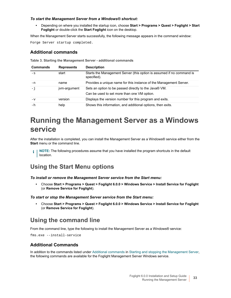#### *To start the Management Server from a Windows® shortcut:*

**•** Depending on where you installed the startup icon, choose **Start > Programs > Quest > Foglight > Start Foglight** or double-click the **Start Foglight** icon on the desktop.

When the Management Server starts successfully, the following message appears in the command window:

Forge Server startup completed.

### **Additional commands**

**Table 3. Starting the Management Server - additional commands**

| <b>Commands</b> | <b>Represents</b> | <b>Description</b>                                                                   |
|-----------------|-------------------|--------------------------------------------------------------------------------------|
| $-S$            | start             | Starts the Management Server (this option is assumed if no command is<br>specified). |
| $-n$            | name              | Provides a unique name for this instance of the Management Server.                   |
| $-1$            | jvm-argument      | Sets an option to be passed directly to the Java® VM.                                |
|                 |                   | Can be used to set more than one VM option.                                          |
| $-v$            | version           | Displays the version number for this program and exits.                              |
| -h              | help              | Shows this information, and additional options, then exits.                          |

## <span id="page-32-1"></span><span id="page-32-0"></span>**Running the Management Server as a Windows service**

After the installation is completed, you can install the Management Server as a Windows® service either from the **Start** menu or the command line.

**NOTE:** The following procedures assume that you have installed the program shortcuts in the default ÷ location.

### **Using the Start Menu options**

*To install or remove the Management Server service from the Start menu:*

**•** Choose **Start > Programs > Quest > Foglight 6.0.0 > Windows Service > Install Service for Foglight**  (or **Remove Service for Foglight**).

#### *To start or stop the Management Server service from the Start menu:*

**•** Choose **Start > Programs > Quest > Foglight 6.0.0 > Windows Service > Install Service for Foglight**  (or **Remove Service for Foglight**).

### **Using the command line**

From the command line, type the following to install the Management Server as a Windows® service:

fms.exe --install-service

### **Additional Commands**

In addition to the commands listed under Additional commands in Starting and stopping the Management Server, the following commands are available for the Foglight Management Server Windows service.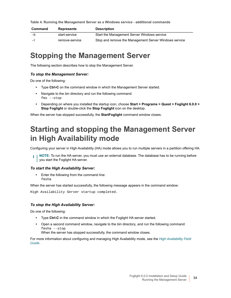|  |  |  |  |  |  | Table 4. Running the Management Server as a Windows service - additional commands |  |
|--|--|--|--|--|--|-----------------------------------------------------------------------------------|--|
|--|--|--|--|--|--|-----------------------------------------------------------------------------------|--|

<span id="page-33-2"></span>

| Command | <b>Represents</b> | <b>Description</b>                                    |
|---------|-------------------|-------------------------------------------------------|
| $-h$    | start-service     | Start the Management Server Windows service           |
| $-r$    | remove-service    | Stop and remove the Management Server Windows service |

## <span id="page-33-0"></span>**Stopping the Management Server**

The following section describes how to stop the Management Server.

#### *To stop the Management Server:*

Do one of the following:

- **•** Type **Ctrl-C** on the command window in which the Management Server started.
- **•** Navigate to the *bin* directory and run the following command: fms --stop
- **•** Depending on where you installed the startup icon, choose **Start > Programs > Quest > Foglight 6.0.0 > Stop Foglight** or double-click the **Stop Foglight** icon on the desktop.

<span id="page-33-3"></span><span id="page-33-1"></span>When the server has stopped successfully, the **StartFoglight** command window closes.

## **Starting and stopping the Management Server in High Availability mode**

Configuring your server in High Availability (HA) mode allows you to run multiple servers in a partition offering HA.

**NOTE:** To run the HA server, you must use an external database. The database has to be running before f. you start the Foglight HA server.

#### *To start the High Availability Server:*

**•** Enter the following from the command line: fmsha

When the server has started successfully, the following message appears in the command window:

High Availability Server startup completed.

#### *To stop the High Availability Server:*

Do one of the following:

- **•** Type **Ctrl-C** in the command window in which the Foglight HA server started.
- **•** Open a second command window, navigate to the *bin* directory*,* and run the following command: fmsha --stop When the server has stopped successfully, the command window closes.

For more information about configuring and managing High Availability mode, see the *High Availability Field Guide*.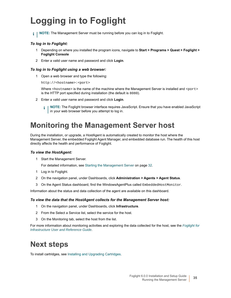# <span id="page-34-3"></span><span id="page-34-0"></span>**Logging in to Foglight**

**i** | NOTE: The Management Server must be running before you can log in to Foglight.

### *To log in to Foglight:*

- 1 Depending on where you installed the program icons, navigate to **Start > Programs > Quest > Foglight > Foglight Console**
- 2 Enter a valid user name and password and click **Login**.

#### *To log in to Foglight using a web browser:*

1 Open a web browser and type the following:

http://<hostname>:<port>

Where  $\alpha$  is the name of the machine where the Management Server is installed and  $\alpha$ is the HTTP port specified during installation (the default is 8080).

- 2 Enter a valid user name and password and click **Login**.
	- **NOTE:** The Foglight browser interface requires JavaScript. Ensure that you have enabled JavaScript ÷ in your web browser before you attempt to log in.

## <span id="page-34-1"></span>**Monitoring the Management Server host**

During the installation, or upgrade, a HostAgent is automatically created to monitor the host where the Management Server, the embedded Foglight Agent Manager, and embedded database run. The health of this host directly affects the health and performance of Foglight.

#### *To view the HostAgent:*

1 Start the Management Serve[r.](#page-31-4) 

For detailed information, see Starting the Management Server on page 32.

- 1 Log in to Foglight.
- 2 On the navigation panel, under Dashboards, click **Administration > Agents > Agent Status**.
- 3 On the Agent Status dashboard, find the WindowsAgentPlus called EmbeddedHostMonitor.

Information about the status and data collection of the agent are available on this dashboard.

#### *To view the data that the HostAgent collects for the Management Server host:*

- 1 On the navigation panel, under Dashboards, click **Infrastructure**.
- 2 From the Select a Service list, select the service for the host.
- [3 On the Monitoring tab, select the h](http://documents.quest.com/foglight-for-infrastructure/5.9.8/user-and-reference-guide/?article=DOC454948&ParentProduct=856)ost from the list.

<span id="page-34-2"></span>For more information about monitoring activities and exploring the data collected for the host, see the *Foglight for Infrastructure User and Reference Guide*.

## **Next step[s](#page-36-1)**

To install cartridges, see Installing and Upgrading Cartridges.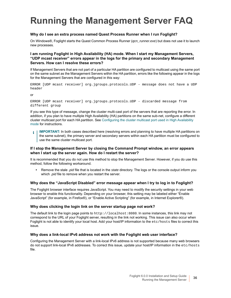# <span id="page-35-1"></span><span id="page-35-0"></span>**Running the Management Server FAQ**

### **Why do I see an extra process named Quest Process Runner when I run Foglight?**

On Windows®, Foglight starts the Quest Common Process Runner (*qcn\_runner.exe*) but does not use it to launch new processes.

### **I am running Foglight in High Availability (HA) mode. When I start my Management Servers, "UDP mcast receiver" errors appear in the logs for the primary and secondary Management Servers. How can I resolve these errors?**

If Management Servers that are not part of a particular HA partition are configured to multicast using the same port on the same subnet as the Management Servers within the HA partition, errors like the following appear in the logs for the Management Servers that are configured in this way:

ERROR [UDP mcast receiver] org.jgroups.protocols.UDP - message does not have a UDP header

or

```
ERROR [UDP mcast receiver] org.jgroups.protocols.UDP - discarded message from 
different group
```
If you see this type of message, change the clu[ster multi-cast port of the servers that are reporting the error. In](#page-22-4)  [additio](#page-22-4)n, if you plan to have multiple High Availability (HA) partitions on the same sub-net, configure a different cluster multicast port for each HA partition. See Configuring the cluster multicast port used in High Availability mode for instructions.

**IMPORTANT:** In both cases described here (resolving errors and planning to have multiple HA partitions on ÷ the same subnet), the primary server and secondary servers within each HA partition must be configured to use the same cluster multicast port.

#### **If I stop the Management Server by closing the Command Prompt window, an error appears when I start up the server again. How do I restart the server?**

It is recommended that you do not use this method to stop the Management Server. However, if you do use this method, follow the following workaround.

**•** Remove the stale *.pid* file that is located in the *state* directory. The logs or the console output inform you which *.pid* file to remove when you restart the server.

#### **Why does the "JavaScript Disabled" error message appear when I try to log in to Foglight?**

<span id="page-35-2"></span>The Foglight browser interface requires JavaScript. You may need to modify the security settings in your web browser to enable this functionality. Depending on your browser, this setting may be labeled either "Enable JavaScript" (for example, in Firefox®), or "Enable Active Scripting" (for example, in Internet Explorer®).

#### **Why does clicking the login link on the server startup page not work?**

The default link to the login page points to http://localhost:8080. In some instances, this link may not correspond to the URL of your Foglight server, resulting in the link not working. This issue can also occur when Foglight is not able to identify your local host. Add your host/IP information to the etc/hosts files to correct this issue.

#### **Why does a link-local IPv6 address not work with the Foglight web user interface?**

Configuring the Management Server with a link-local IPv6 address is not supported because many web browsers do not support link-local IPv6 addresses. To correct this issue, update your host/IP information in the etc/hosts file.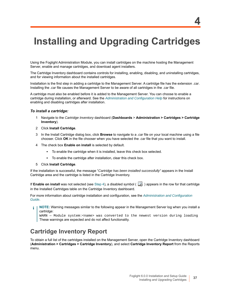# <span id="page-36-1"></span><span id="page-36-0"></span>**Installing and Upgrading Cartridges**

Using the Foglight Administration Module, you can install cartridges on the machine hosting the Management Server, enable and manage cartridges, and download agent installers.

The Cartridge Inventory dashboard contains controls for installing, enabling, disabling, and uninstalling cartridges, and for viewing information about the installed cartridges.

Installation is the first step in adding a cartridge to the Management Server. A cartridge file has the extension *.car*. Installing the *.car* file causes the Management Se[rver to be aware of all cartridges in the](http://documents.quest.com/foglight/5.9.8/administration-and-configuration-guide/) *.car* file.

A cartridge must also be enabled before it is added to the Management Server. You can choose to enable a cartridge during installation, or afterward. See the *Administration and Configuration Help* for instructions on enabling and disabling cartridges after installation.

#### *To install a cartridge:*

- 1 Navigate to the *Cartridge Inventory* dashboard (**Dashboards** > **Administration > Cartridges > Cartridge Inventory**).
- 2 Click **Install Cartridge**.
- <span id="page-36-2"></span>3 In the Install Cartridge dialog box, click **Browse** to navigate to a *.car* file on your local machine using a file chooser. Click **OK** in the file chooser when you have selected the *.car* file that you want to install.
- 4 The check box **Enable on install** is selected by default.
	- **▪** To enable the cartridge when it is installed, leave this check box selected.
	- **▪** To enable the cartridge after installation, clear this check box.
- 5 Click **Install Cartridge**.

If the installation is successful, the message "*Cartridge has been installed successfully"* appears in the Install Cartridge area and the cartridge is listed in [the Ca](#page-36-2)rtridge Inventory.

If **Enable on install** was not selected (see Step 4), a disabled symbol (  $\Box$ ) appears in the row for that cartridge [in the](http://documents.quest.com/foglight/5.9.8/administration-and-configuration-guide/) Installed Cartridges table on the Cartridge Inventory dashboard.

For more information about cartridge installation and configuration, see the *Administration and Configuration Guide*.

**NOTE:** Warning messages similar to the following appear in the Management Server log when you install a ÷ cartridge:

WARN - Module system:<name> was converted to the newest version during loading These warnings are expected and do not affect functionality.

### **Cartridge Inventory Report**

To obtain a full list of the cartridges installed on the Management Server, open the Cartridge Inventory dashboard (**Administration > Cartridges > Cartridge Inventory**), and select **Cartridge Inventory Report** from the Reports menu.

**4**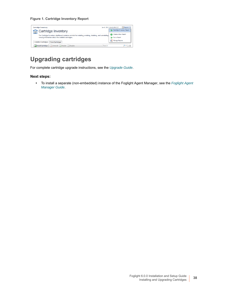### **Figure 1. Cartridge Inventory Report**



## **Upgrading cartridges**

For complete cartridge upgrade instructions, see the *Upgrade Guide*.

### **[Next steps:](https://support.quest.com/technical-documents/foglight-agent-manager/5.9.8/foglight-agent-manager-guide)**

**•** To install a separate (non-embedded) instance of the Foglight Agent Manager, see the *Foglight Agent Manager Guide*.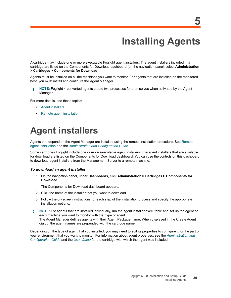# **Installing Agents**

<span id="page-38-0"></span>A cartridge may include one or more executable Foglight agent installers. The agent installers included in a cartridge are listed on the Components for Download dashboard (on the navigation panel, select **Administration > Cartridges > Components for Download**).

Agents must be installed on all the machines you want to monitor. For agents that are installed on the monitored host, you must install and configure the Agent Manager.

**NOTE:** Foglight 4-converted agents create two processes for themselves when activated by the Agent ÷ Manager.

For mo[re details, see th](#page-38-1)ese topics:

- **•** [Agent installers](#page-39-0)
- <span id="page-38-1"></span>**•** Remote agent installation

# **[Agent](#page-39-0) in[stallers](http://documents.quest.com/foglight/5.9.8/administration-and-configuration-guide/)**

Agents that depend on the Agent Manager are installed using the remote installation procedure. See Remote agent installation and the *Administration and Configuration Guide*.

Some cartridges Foglight include one or more executable agent installers. The agent installers that are available for download are listed on the Components for Download dashboard. You can use the controls on this dashboard to download agent installers from the Management Server to a remote machine.

#### *To download an agent installer:*

1 On the navigation panel, under **Dashboards**, click **Administration > Cartridges > Components for Download**.

The Components for Download dashboard appears.

- 2 Click the name of the installer that you want to download.
- 3 Follow the on-screen instructions for each step of the installation process and specify the appropriate installation options.
- **NOTE:** For agents that are installed individually, run the agent installer executable and set up the agent on each machine you want to monitor with that type of agent. The Agent Manager defines agents with their Agent Package name. When displayed in the Create Agent dialog, the agent names are prepended with the cartridge name.

[Depending on the ty](http://documents.quest.com/foglight/5.9.8/administration-and-configuration-guide/)pe of ag[ent that you](http://documents.quest.com/foglight/5.9.8/user-guide/) installed, you may need to edit its properties to configure it for the part of your environment that you want to monitor. For information about agent properties, see the *Administration and Configuration Guide* and the *User Guide* for the cartridge with which the agent was included.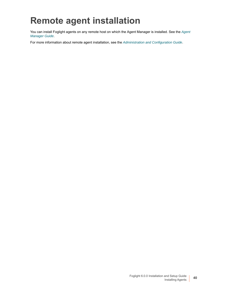# <span id="page-39-0"></span>**[Remo](https://support.quest.com/technical-documents/foglight-agent-manager/5.9.8/foglight-agent-manager-guide)te agent installation**

You can install Foglight agents on any remote host on which t[he Agent Manager is installed. See the](http://documents.quest.com/foglight/5.9.8/administration-and-configuration-guide/) *Agent Manager Guide*.

For more information about remote agent installation, see the *Administration and Configuration Guide*.